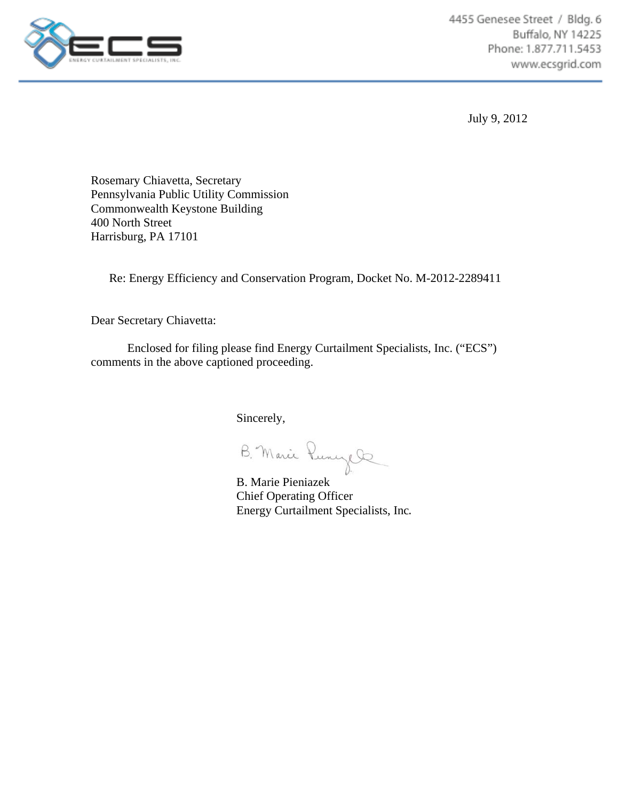

July 9, 2012

Rosemary Chiavetta, Secretary Pennsylvania Public Utility Commission Commonwealth Keystone Building 400 North Street Harrisburg, PA 17101

Re: Energy Efficiency and Conservation Program, Docket No. M-2012-2289411

Dear Secretary Chiavetta:

 Enclosed for filing please find Energy Curtailment Specialists, Inc. ("ECS") comments in the above captioned proceeding.

Sincerely,

B. Marie Pieniazek

Chief Operating Officer Energy Curtailment Specialists, Inc.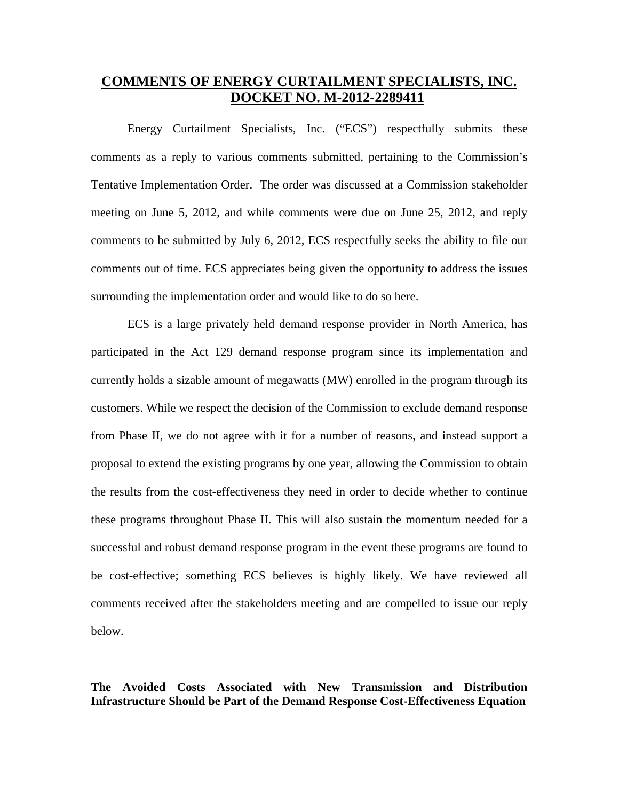# **COMMENTS OF ENERGY CURTAILMENT SPECIALISTS, INC. DOCKET NO. M-2012-2289411**

Energy Curtailment Specialists, Inc. ("ECS") respectfully submits these comments as a reply to various comments submitted, pertaining to the Commission's Tentative Implementation Order. The order was discussed at a Commission stakeholder meeting on June 5, 2012, and while comments were due on June 25, 2012, and reply comments to be submitted by July 6, 2012, ECS respectfully seeks the ability to file our comments out of time. ECS appreciates being given the opportunity to address the issues surrounding the implementation order and would like to do so here.

ECS is a large privately held demand response provider in North America, has participated in the Act 129 demand response program since its implementation and currently holds a sizable amount of megawatts (MW) enrolled in the program through its customers. While we respect the decision of the Commission to exclude demand response from Phase II, we do not agree with it for a number of reasons, and instead support a proposal to extend the existing programs by one year, allowing the Commission to obtain the results from the cost-effectiveness they need in order to decide whether to continue these programs throughout Phase II. This will also sustain the momentum needed for a successful and robust demand response program in the event these programs are found to be cost-effective; something ECS believes is highly likely. We have reviewed all comments received after the stakeholders meeting and are compelled to issue our reply below.

### **The Avoided Costs Associated with New Transmission and Distribution Infrastructure Should be Part of the Demand Response Cost-Effectiveness Equation**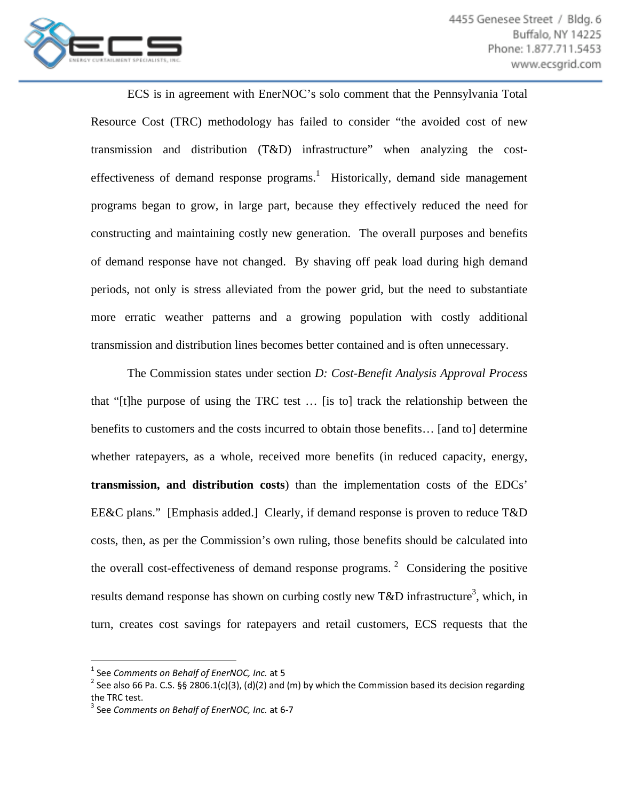

 ECS is in agreement with EnerNOC's solo comment that the Pennsylvania Total Resource Cost (TRC) methodology has failed to consider "the avoided cost of new transmission and distribution (T&D) infrastructure" when analyzing the costeffectiveness of demand response programs.<sup>1</sup> Historically, demand side management programs began to grow, in large part, because they effectively reduced the need for constructing and maintaining costly new generation. The overall purposes and benefits of demand response have not changed. By shaving off peak load during high demand periods, not only is stress alleviated from the power grid, but the need to substantiate more erratic weather patterns and a growing population with costly additional transmission and distribution lines becomes better contained and is often unnecessary.

 The Commission states under section *D: Cost-Benefit Analysis Approval Process*  that "[t]he purpose of using the TRC test … [is to] track the relationship between the benefits to customers and the costs incurred to obtain those benefits… [and to] determine whether ratepayers, as a whole, received more benefits (in reduced capacity, energy, **transmission, and distribution costs**) than the implementation costs of the EDCs' EE&C plans." [Emphasis added.] Clearly, if demand response is proven to reduce T&D costs, then, as per the Commission's own ruling, those benefits should be calculated into the overall cost-effectiveness of demand response programs.<sup>2</sup> Considering the positive results demand response has shown on curbing costly new T&D infrastructure<sup>3</sup>, which, in turn, creates cost savings for ratepayers and retail customers, ECS requests that the

<sup>&</sup>lt;sup>1</sup> See *Comments on Behalf of EnerNOC, Inc.* at 5<br><sup>2</sup> See also 66 Pa. C.S. §§ 2806.1(c)(3), (d)(2) and (m) by which the Commission based its decision regarding the TRC test. <sup>3</sup> See *Comments on Behalf of EnerNOC, Inc.* at <sup>6</sup>‐<sup>7</sup>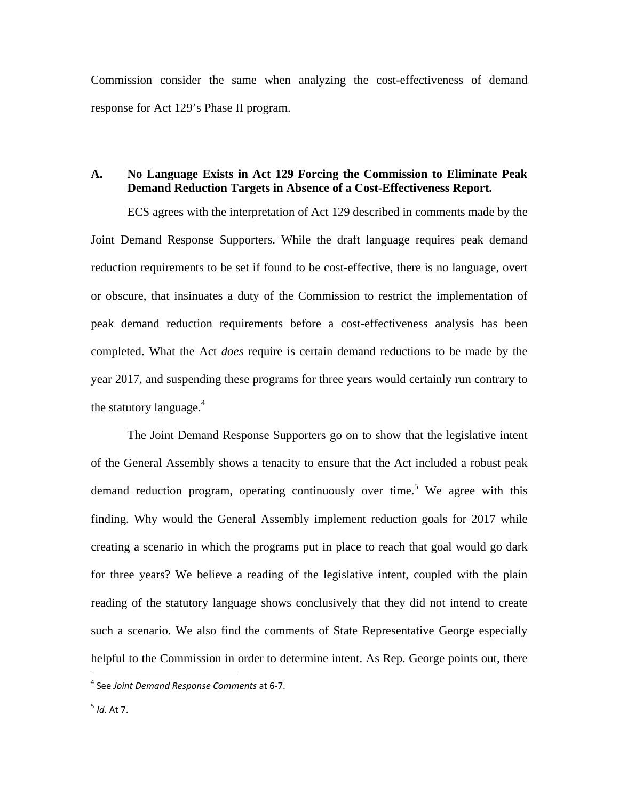Commission consider the same when analyzing the cost-effectiveness of demand response for Act 129's Phase II program.

### **A. No Language Exists in Act 129 Forcing the Commission to Eliminate Peak Demand Reduction Targets in Absence of a Cost-Effectiveness Report.**

ECS agrees with the interpretation of Act 129 described in comments made by the Joint Demand Response Supporters. While the draft language requires peak demand reduction requirements to be set if found to be cost-effective, there is no language, overt or obscure, that insinuates a duty of the Commission to restrict the implementation of peak demand reduction requirements before a cost-effectiveness analysis has been completed. What the Act *does* require is certain demand reductions to be made by the year 2017, and suspending these programs for three years would certainly run contrary to the statutory language. $4$ 

The Joint Demand Response Supporters go on to show that the legislative intent of the General Assembly shows a tenacity to ensure that the Act included a robust peak demand reduction program, operating continuously over time.<sup>5</sup> We agree with this finding. Why would the General Assembly implement reduction goals for 2017 while creating a scenario in which the programs put in place to reach that goal would go dark for three years? We believe a reading of the legislative intent, coupled with the plain reading of the statutory language shows conclusively that they did not intend to create such a scenario. We also find the comments of State Representative George especially helpful to the Commission in order to determine intent. As Rep. George points out, there

<sup>4</sup> See *Joint Demand Response Comments* at 6‐7.

<sup>5</sup> *Id*. At 7.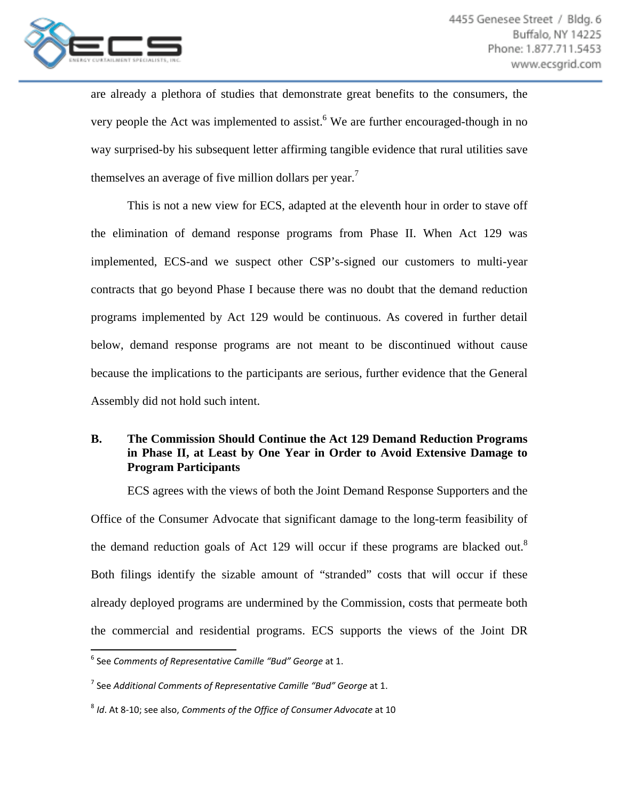

are already a plethora of studies that demonstrate great benefits to the consumers, the very people the Act was implemented to assist.<sup>6</sup> We are further encouraged-though in no way surprised-by his subsequent letter affirming tangible evidence that rural utilities save themselves an average of five million dollars per year.<sup> $\prime$ </sup>

This is not a new view for ECS, adapted at the eleventh hour in order to stave off the elimination of demand response programs from Phase II. When Act 129 was implemented, ECS-and we suspect other CSP's-signed our customers to multi-year contracts that go beyond Phase I because there was no doubt that the demand reduction programs implemented by Act 129 would be continuous. As covered in further detail below, demand response programs are not meant to be discontinued without cause because the implications to the participants are serious, further evidence that the General Assembly did not hold such intent.

# **B. The Commission Should Continue the Act 129 Demand Reduction Programs in Phase II, at Least by One Year in Order to Avoid Extensive Damage to Program Participants**

ECS agrees with the views of both the Joint Demand Response Supporters and the Office of the Consumer Advocate that significant damage to the long-term feasibility of the demand reduction goals of Act 129 will occur if these programs are blacked out.<sup>8</sup> Both filings identify the sizable amount of "stranded" costs that will occur if these already deployed programs are undermined by the Commission, costs that permeate both the commercial and residential programs. ECS supports the views of the Joint DR

 <sup>6</sup> See *Comments of Representative Camille "Bud" George* at 1.

<sup>7</sup> See *Additional Comments of Representative Camille "Bud" George* at 1.

<sup>8</sup> *Id*. At 8‐10; see also, *Comments of the Office of Consumer Advocate* at 10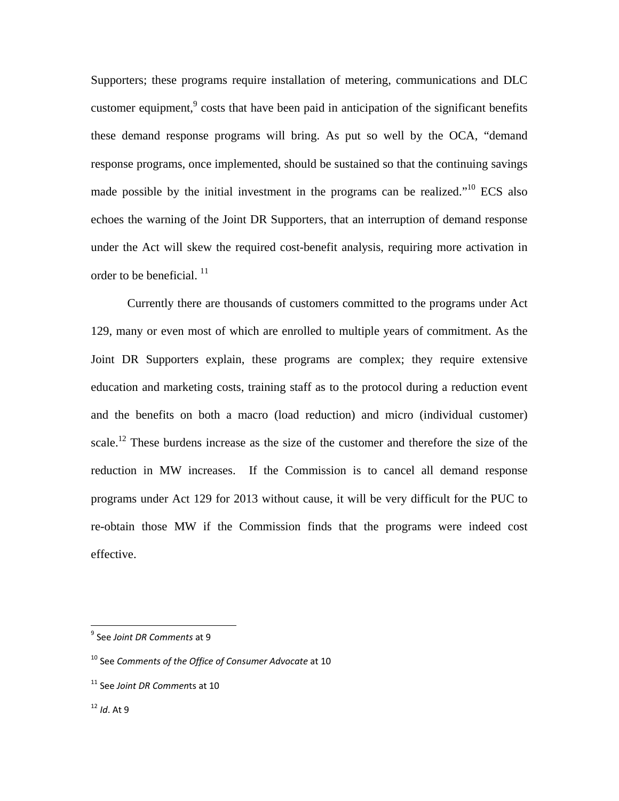Supporters; these programs require installation of metering, communications and DLC customer equipment, $\degree$  costs that have been paid in anticipation of the significant benefits these demand response programs will bring. As put so well by the OCA, "demand response programs, once implemented, should be sustained so that the continuing savings made possible by the initial investment in the programs can be realized."<sup>10</sup> ECS also echoes the warning of the Joint DR Supporters, that an interruption of demand response under the Act will skew the required cost-benefit analysis, requiring more activation in order to be beneficial.  $^{11}$ 

Currently there are thousands of customers committed to the programs under Act 129, many or even most of which are enrolled to multiple years of commitment. As the Joint DR Supporters explain, these programs are complex; they require extensive education and marketing costs, training staff as to the protocol during a reduction event and the benefits on both a macro (load reduction) and micro (individual customer) scale.<sup>12</sup> These burdens increase as the size of the customer and therefore the size of the reduction in MW increases. If the Commission is to cancel all demand response programs under Act 129 for 2013 without cause, it will be very difficult for the PUC to re-obtain those MW if the Commission finds that the programs were indeed cost effective.

<sup>9</sup> See *Joint DR Comments* at 9

<sup>10</sup> See *Comments of the Office of Consumer Advocate* at 10

<sup>11</sup> See *Joint DR Commen*ts at 10

 $12$  *Id* At 9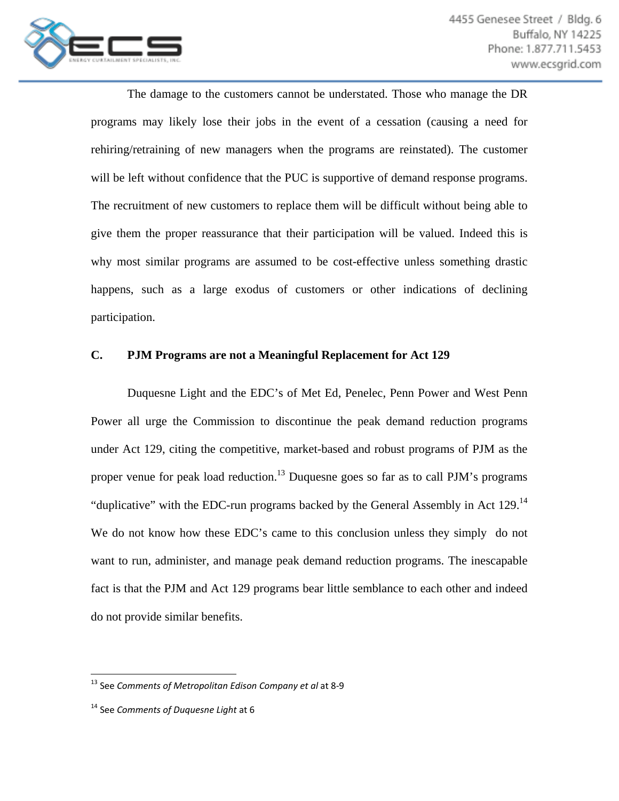

The damage to the customers cannot be understated. Those who manage the DR programs may likely lose their jobs in the event of a cessation (causing a need for rehiring/retraining of new managers when the programs are reinstated). The customer will be left without confidence that the PUC is supportive of demand response programs. The recruitment of new customers to replace them will be difficult without being able to give them the proper reassurance that their participation will be valued. Indeed this is why most similar programs are assumed to be cost-effective unless something drastic happens, such as a large exodus of customers or other indications of declining participation.

### **C. PJM Programs are not a Meaningful Replacement for Act 129**

Duquesne Light and the EDC's of Met Ed, Penelec, Penn Power and West Penn Power all urge the Commission to discontinue the peak demand reduction programs under Act 129, citing the competitive, market-based and robust programs of PJM as the proper venue for peak load reduction.<sup>13</sup> Duquesne goes so far as to call PJM's programs "duplicative" with the EDC-run programs backed by the General Assembly in Act 129.<sup>14</sup> We do not know how these EDC's came to this conclusion unless they simply do not want to run, administer, and manage peak demand reduction programs. The inescapable fact is that the PJM and Act 129 programs bear little semblance to each other and indeed do not provide similar benefits.

 <sup>13</sup> See *Comments of Metropolitan Edison Company et al* at 8‐9

<sup>14</sup> See *Comments of Duquesne Light* at 6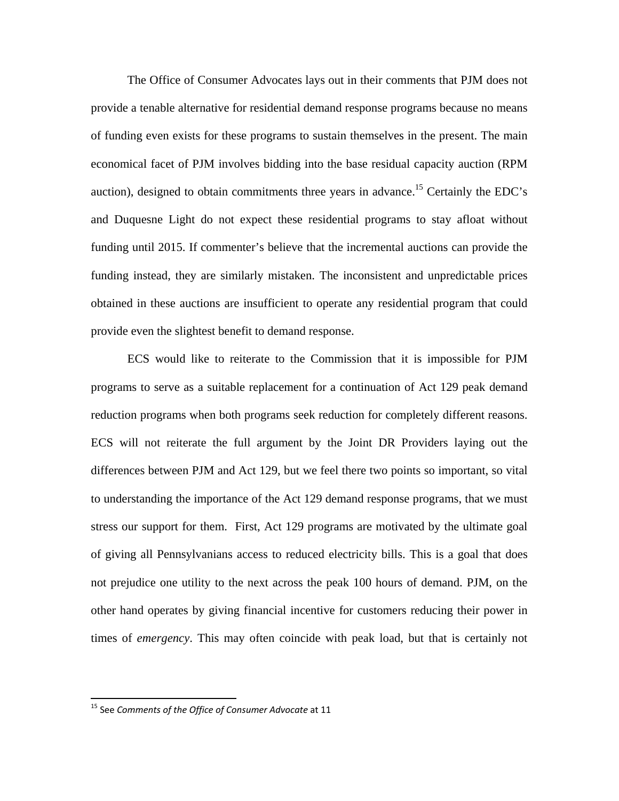The Office of Consumer Advocates lays out in their comments that PJM does not provide a tenable alternative for residential demand response programs because no means of funding even exists for these programs to sustain themselves in the present. The main economical facet of PJM involves bidding into the base residual capacity auction (RPM auction), designed to obtain commitments three years in advance.<sup>15</sup> Certainly the EDC's and Duquesne Light do not expect these residential programs to stay afloat without funding until 2015. If commenter's believe that the incremental auctions can provide the funding instead, they are similarly mistaken. The inconsistent and unpredictable prices obtained in these auctions are insufficient to operate any residential program that could provide even the slightest benefit to demand response.

ECS would like to reiterate to the Commission that it is impossible for PJM programs to serve as a suitable replacement for a continuation of Act 129 peak demand reduction programs when both programs seek reduction for completely different reasons. ECS will not reiterate the full argument by the Joint DR Providers laying out the differences between PJM and Act 129, but we feel there two points so important, so vital to understanding the importance of the Act 129 demand response programs, that we must stress our support for them. First, Act 129 programs are motivated by the ultimate goal of giving all Pennsylvanians access to reduced electricity bills. This is a goal that does not prejudice one utility to the next across the peak 100 hours of demand. PJM, on the other hand operates by giving financial incentive for customers reducing their power in times of *emergency*. This may often coincide with peak load, but that is certainly not

<sup>15</sup> See *Comments of the Office of Consumer Advocate* at 11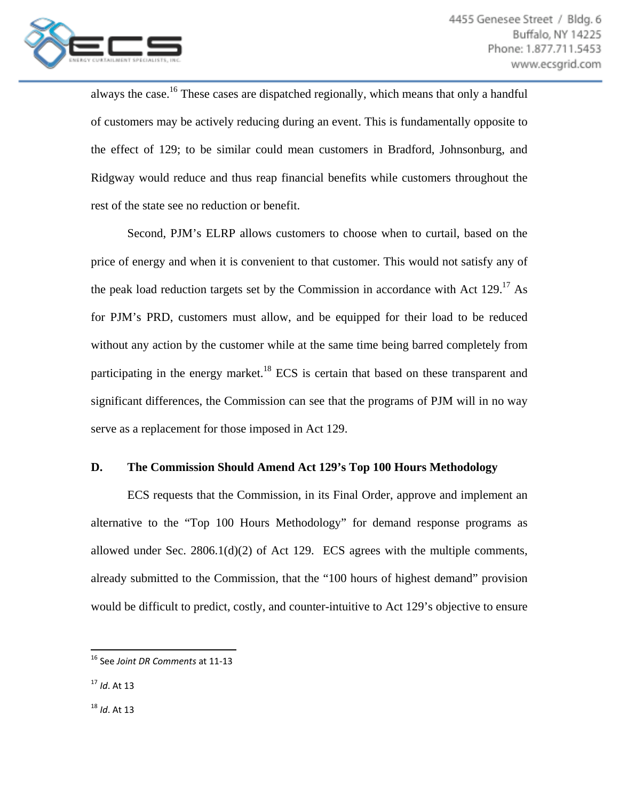

always the case.<sup>16</sup> These cases are dispatched regionally, which means that only a handful of customers may be actively reducing during an event. This is fundamentally opposite to the effect of 129; to be similar could mean customers in Bradford, Johnsonburg, and Ridgway would reduce and thus reap financial benefits while customers throughout the rest of the state see no reduction or benefit.

Second, PJM's ELRP allows customers to choose when to curtail, based on the price of energy and when it is convenient to that customer. This would not satisfy any of the peak load reduction targets set by the Commission in accordance with Act  $129$ <sup>17</sup> As for PJM's PRD, customers must allow, and be equipped for their load to be reduced without any action by the customer while at the same time being barred completely from participating in the energy market.<sup>18</sup> ECS is certain that based on these transparent and significant differences, the Commission can see that the programs of PJM will in no way serve as a replacement for those imposed in Act 129.

### **D. The Commission Should Amend Act 129's Top 100 Hours Methodology**

 ECS requests that the Commission, in its Final Order, approve and implement an alternative to the "Top 100 Hours Methodology" for demand response programs as allowed under Sec.  $2806.1(d)(2)$  of Act 129. ECS agrees with the multiple comments, already submitted to the Commission, that the "100 hours of highest demand" provision would be difficult to predict, costly, and counter-intuitive to Act 129's objective to ensure

 <sup>16</sup> See *Joint DR Comments* at 11‐13

<sup>17</sup> *Id*. At 13

<sup>18</sup> *Id*. At 13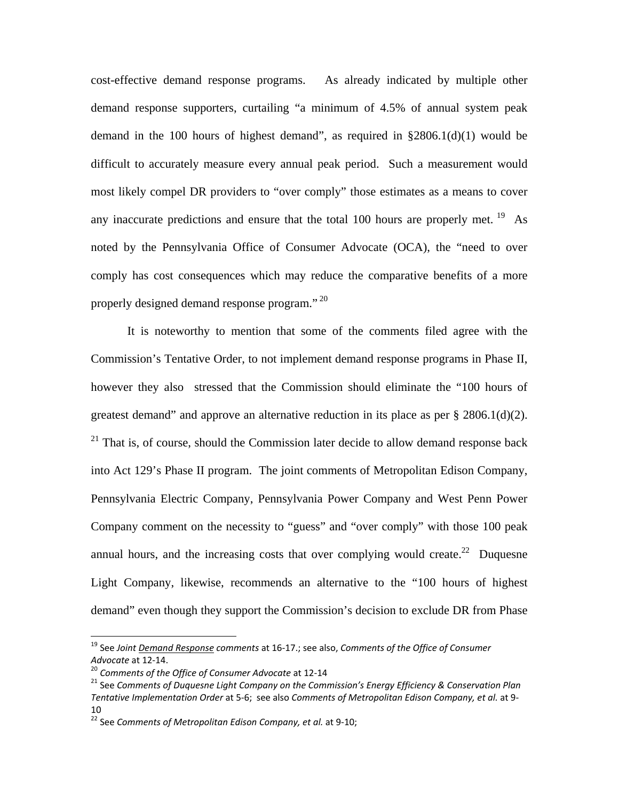cost-effective demand response programs. As already indicated by multiple other demand response supporters, curtailing "a minimum of 4.5% of annual system peak demand in the 100 hours of highest demand", as required in  $\S 2806.1(d)(1)$  would be difficult to accurately measure every annual peak period. Such a measurement would most likely compel DR providers to "over comply" those estimates as a means to cover any inaccurate predictions and ensure that the total 100 hours are properly met. <sup>19</sup> As noted by the Pennsylvania Office of Consumer Advocate (OCA), the "need to over comply has cost consequences which may reduce the comparative benefits of a more properly designed demand response program."<sup>20</sup>

 It is noteworthy to mention that some of the comments filed agree with the Commission's Tentative Order, to not implement demand response programs in Phase II, however they also stressed that the Commission should eliminate the "100 hours of greatest demand" and approve an alternative reduction in its place as per  $\S 2806.1(d)(2)$ .  $21$  That is, of course, should the Commission later decide to allow demand response back into Act 129's Phase II program. The joint comments of Metropolitan Edison Company, Pennsylvania Electric Company, Pennsylvania Power Company and West Penn Power Company comment on the necessity to "guess" and "over comply" with those 100 peak annual hours, and the increasing costs that over complying would create.<sup>22</sup> Duquesne Light Company, likewise, recommends an alternative to the "100 hours of highest demand" even though they support the Commission's decision to exclude DR from Phase

<sup>19</sup> See *Joint Demand Response comments* at 16‐17.; see also, *Comments of the Office of Consumer* Advocate at 12-14.<br><sup>20</sup> Comments of the Office of Consumer Advocate at 12-14<br><sup>21</sup> See Comments of Duquesne Light Company on the Commission's Energy Efficiency & Conservation Plan

*Tentative Implementation Order* at 5‐6; see also *Comments of Metropolitan Edison Company, et al.* at 9‐ 10

<sup>22</sup> See *Comments of Metropolitan Edison Company, et al.* at 9‐10;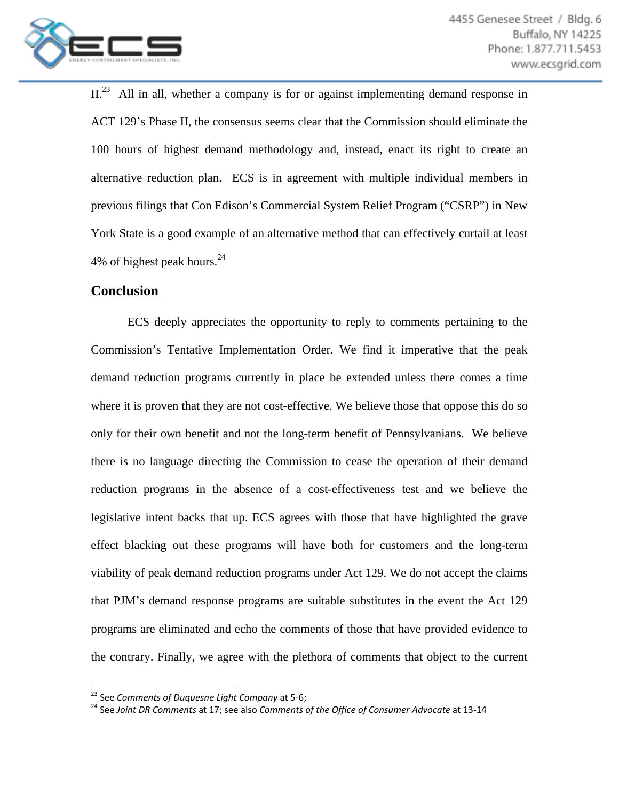

II.<sup>23</sup> All in all, whether a company is for or against implementing demand response in ACT 129's Phase II, the consensus seems clear that the Commission should eliminate the 100 hours of highest demand methodology and, instead, enact its right to create an alternative reduction plan. ECS is in agreement with multiple individual members in previous filings that Con Edison's Commercial System Relief Program ("CSRP") in New York State is a good example of an alternative method that can effectively curtail at least 4% of highest peak hours.<sup>24</sup>

## **Conclusion**

ECS deeply appreciates the opportunity to reply to comments pertaining to the Commission's Tentative Implementation Order. We find it imperative that the peak demand reduction programs currently in place be extended unless there comes a time where it is proven that they are not cost-effective. We believe those that oppose this do so only for their own benefit and not the long-term benefit of Pennsylvanians. We believe there is no language directing the Commission to cease the operation of their demand reduction programs in the absence of a cost-effectiveness test and we believe the legislative intent backs that up. ECS agrees with those that have highlighted the grave effect blacking out these programs will have both for customers and the long-term viability of peak demand reduction programs under Act 129. We do not accept the claims that PJM's demand response programs are suitable substitutes in the event the Act 129 programs are eliminated and echo the comments of those that have provided evidence to the contrary. Finally, we agree with the plethora of comments that object to the current

<sup>&</sup>lt;sup>23</sup> See Comments of Duguesne Light Company at 5-6;

<sup>&</sup>lt;sup>24</sup> See Joint DR Comments at 17: see also Comments of the Office of Consumer Advocate at 13-14